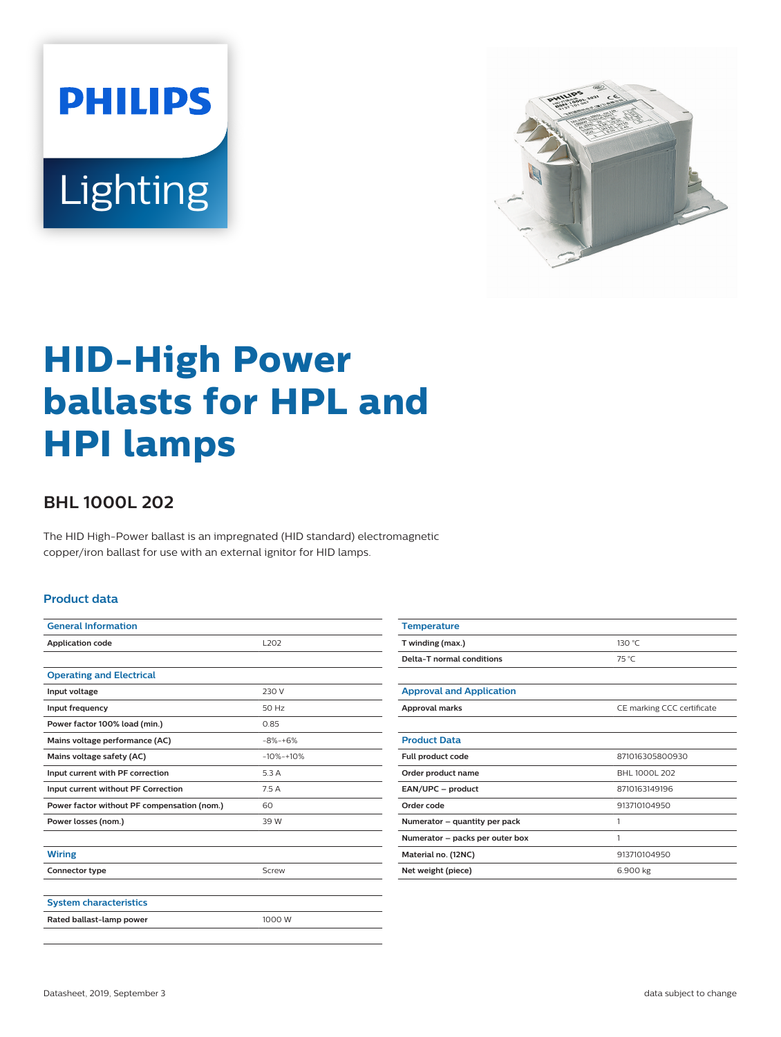



# **HID-High Power ballasts for HPL and HPI lamps**

## **BHL 1000L 202**

The HID High-Power ballast is an impregnated (HID standard) electromagnetic copper/iron ballast for use with an external ignitor for HID lamps.

#### **Product data**

| <b>General Information</b>                  |              |  |
|---------------------------------------------|--------------|--|
| <b>Application code</b>                     | 1202         |  |
|                                             |              |  |
| <b>Operating and Electrical</b>             |              |  |
| Input voltage                               | 230 V        |  |
| Input frequency                             | 50 Hz        |  |
| Power factor 100% load (min.)               | 0.85         |  |
| Mains voltage performance (AC)              | $-8% + 6%$   |  |
| Mains voltage safety (AC)                   | $-10% + 10%$ |  |
| Input current with PF correction            | 5.3 A        |  |
| Input current without PF Correction         | 7.5A         |  |
| Power factor without PF compensation (nom.) | 60           |  |
| Power losses (nom.)                         | 39 W         |  |
|                                             |              |  |
| <b>Wiring</b>                               |              |  |
| Connector type                              | Screw        |  |
|                                             |              |  |
| <b>System characteristics</b>               |              |  |
| Rated ballast-lamp power                    | 1000 W       |  |
|                                             |              |  |

| <b>Temperature</b>              |                            |
|---------------------------------|----------------------------|
| T winding (max.)                | 130 °C                     |
| Delta-T normal conditions       | 75 °C                      |
|                                 |                            |
| <b>Approval and Application</b> |                            |
| Approval marks                  | CE marking CCC certificate |
|                                 |                            |
| <b>Product Data</b>             |                            |
| Full product code               | 871016305800930            |
| Order product name              | BHL 1000L 202              |
| EAN/UPC - product               | 8710163149196              |
| Order code                      | 913710104950               |
| Numerator - quantity per pack   | 1                          |
| Numerator - packs per outer box | 1                          |
| Material no. (12NC)             | 913710104950               |
| Net weight (piece)              | 6.900 kg                   |
|                                 |                            |